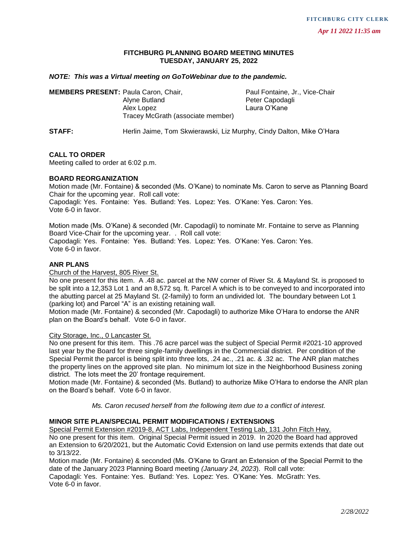# **FITCHBURG PLANNING BOARD MEETING MINUTES TUESDAY, JANUARY 25, 2022**

## *NOTE: This was a Virtual meeting on GoToWebinar due to the pandemic.*

| <b>MEMBERS PRESENT: Paula Caron, Chair,</b> |                                                                      | Paul Fontaine, Jr., Vice-Chair |
|---------------------------------------------|----------------------------------------------------------------------|--------------------------------|
|                                             | Alyne Butland                                                        | Peter Capodagli                |
|                                             | Alex Lopez<br>Tracey McGrath (associate member)                      | Laura O'Kane                   |
| STAFF:                                      | Herlin Jaime. Tom Skwierawski. Liz Murphy. Cindy Dalton. Mike O'Hara |                                |

## **CALL TO ORDER**

Meeting called to order at 6:02 p.m.

#### **BOARD REORGANIZATION**

Motion made (Mr. Fontaine) & seconded (Ms. O'Kane) to nominate Ms. Caron to serve as Planning Board Chair for the upcoming year. Roll call vote: Capodagli: Yes. Fontaine: Yes. Butland: Yes. Lopez: Yes. O'Kane: Yes. Caron: Yes. Vote 6-0 in favor.

Motion made (Ms. O'Kane) & seconded (Mr. Capodagli) to nominate Mr. Fontaine to serve as Planning Board Vice-Chair for the upcoming year. . Roll call vote: Capodagli: Yes. Fontaine: Yes. Butland: Yes. Lopez: Yes. O'Kane: Yes. Caron: Yes. Vote 6-0 in favor.

## **ANR PLANS**

Church of the Harvest, 805 River St.

No one present for this item. A .48 ac. parcel at the NW corner of River St. & Mayland St. is proposed to be split into a 12,353 Lot 1 and an 8,572 sq. ft. Parcel A which is to be conveyed to and incorporated into the abutting parcel at 25 Mayland St. (2-family) to form an undivided lot. The boundary between Lot 1 (parking lot) and Parcel "A" is an existing retaining wall.

Motion made (Mr. Fontaine) & seconded (Mr. Capodagli) to authorize Mike O'Hara to endorse the ANR plan on the Board's behalf. Vote 6-0 in favor.

City Storage, Inc., 0 Lancaster St.

No one present for this item. This .76 acre parcel was the subject of Special Permit #2021-10 approved last year by the Board for three single-family dwellings in the Commercial district. Per condition of the Special Permit the parcel is being split into three lots, .24 ac., .21 ac. & .32 ac. The ANR plan matches the property lines on the approved site plan. No minimum lot size in the Neighborhood Business zoning district. The lots meet the 20' frontage requirement.

Motion made (Mr. Fontaine) & seconded (Ms. Butland) to authorize Mike O'Hara to endorse the ANR plan on the Board's behalf. Vote 6-0 in favor.

*Ms. Caron recused herself from the following item due to a conflict of interest.*

## **MINOR SITE PLAN/SPECIAL PERMIT MODIFICATIONS / EXTENSIONS**

Special Permit Extension #2019-8, ACT Labs, Independent Testing Lab, 131 John Fitch Hwy.

No one present for this item. Original Special Permit issued in 2019. In 2020 the Board had approved an Extension to 6/20/2021, but the Automatic Covid Extension on land use permits extends that date out to 3/13/22.

Motion made (Mr. Fontaine) & seconded (Ms. O'Kane to Grant an Extension of the Special Permit to the date of the January 2023 Planning Board meeting *(January 24, 2023*). Roll call vote: Capodagli: Yes. Fontaine: Yes. Butland: Yes. Lopez: Yes. O'Kane: Yes. McGrath: Yes.

Vote 6-0 in favor.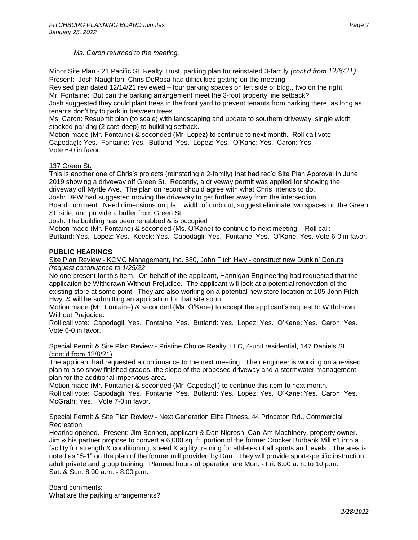# *Ms. Caron returned to the meeting.*

Minor Site Plan - 21 Pacific St. Realty Trust, parking plan for reinstated 3-family *(cont'd from 12/8/21)*

Present: Josh Naughton. Chris DeRosa had difficulties getting on the meeting.

Revised plan dated 12/14/21 reviewed – four parking spaces on left side of bldg., two on the right. Mr. Fontaine: But can the parking arrangement meet the 3-foot property line setback?

Josh suggested they could plant trees in the front yard to prevent tenants from parking there, as long as tenants don't try to park in between trees.

Ms. Caron: Resubmit plan (to scale) with landscaping and update to southern driveway, single width stacked parking (2 cars deep) to building setback.

Motion made (Mr. Fontaine) & seconded (Mr. Lopez) to continue to next month. Roll call vote: Capodagli: Yes. Fontaine: Yes. Butland: Yes. Lopez: Yes. O'Kane: Yes. Caron: Yes. Vote 6-0 in favor.

## 137 Green St.

This is another one of Chris's projects (reinstating a 2-family) that had rec'd Site Plan Approval in June 2019 showing a driveway off Green St. Recently, a driveway permit was applied for showing the driveway off Myrtle Ave. The plan on record should agree with what Chris intends to do. Josh: DPW had suggested moving the driveway to get further away from the intersection.

Board comment: Need dimensions on plan, width of curb cut, suggest eliminate two spaces on the Green St. side, and provide a buffer from Green St.

Josh: The building has been rehabbed & is occupied

Motion made (Mr. Fontaine) & seconded (Ms. O'Kane) to continue to next meeting. Roll call:

Butland: Yes. Lopez: Yes. Koeck: Yes. Capodagli: Yes. Fontaine: Yes. O'Kane: Yes. Vote 6-0 in favor.

## **PUBLIC HEARINGS**

#### Site Plan Review - KCMC Management, Inc. 580, John Fitch Hwy - construct new Dunkin' Donuts *(request continuance to 1/25/22*

No one present for this item. On behalf of the applicant, Hannigan Engineering had requested that the application be Withdrawn Without Prejudice. The applicant will look at a potential renovation of the existing store at some point. They are also working on a potential new store location at 105 John Fitch Hwy. & will be submitting an application for that site soon.

Motion made (Mr. Fontaine) & seconded (Ms. O'Kane) to accept the applicant's request to Withdrawn Without Prejudice.

Roll call vote: Capodagli: Yes. Fontaine: Yes. Butland: Yes. Lopez: Yes. O'Kane: Yes. Caron: Yes. Vote 6-0 in favor.

## Special Permit & Site Plan Review - Pristine Choice Realty, LLC, 4-unit residential, 147 Daniels St. (cont'd from 12/8/21)

The applicant had requested a continuance to the next meeting. Their engineer is working on a revised plan to also show finished grades, the slope of the proposed driveway and a stormwater management plan for the additional impervious area.

Motion made (Mr. Fontaine) & seconded (Mr. Capodagli) to continue this item to next month. Roll call vote: Capodagli: Yes. Fontaine: Yes. Butland: Yes. Lopez: Yes. O'Kane: Yes. Caron: Yes. McGrath: Yes. Vote 7-0 in favor.

## Special Permit & Site Plan Review - Next Generation Elite Fitness, 44 Princeton Rd., Commercial Recreation

Hearing opened. Present: Jim Bennett, applicant & Dan Nigrosh, Can-Am Machinery, property owner. Jim & his partner propose to convert a 6,000 sq. ft. portion of the former Crocker Burbank Mill #1 into a facility for strength & conditioning, speed & agility training for athletes of all sports and levels. The area is noted as "S-1" on the plan of the former mill provided by Dan. They will provide sport-specific instruction, adult private and group training. Planned hours of operation are Mon. - Fri. 6:00 a.m. to 10 p.m., Sat. & Sun. 8:00 a.m. - 8:00 p.m.

Board comments: What are the parking arrangements?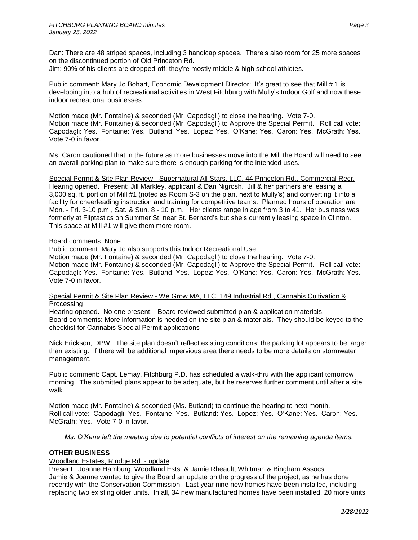Dan: There are 48 striped spaces, including 3 handicap spaces. There's also room for 25 more spaces on the discontinued portion of Old Princeton Rd.

Jim: 90% of his clients are dropped-off; they're mostly middle & high school athletes.

Public comment: Mary Jo Bohart, Economic Development Director: It's great to see that Mill # 1 is developing into a hub of recreational activities in West Fitchburg with Mully's Indoor Golf and now these indoor recreational businesses.

Motion made (Mr. Fontaine) & seconded (Mr. Capodagli) to close the hearing. Vote 7-0. Motion made (Mr. Fontaine) & seconded (Mr. Capodagli) to Approve the Special Permit. Roll call vote: Capodagli: Yes. Fontaine: Yes. Butland: Yes. Lopez: Yes. O'Kane: Yes. Caron: Yes. McGrath: Yes. Vote 7-0 in favor.

Ms. Caron cautioned that in the future as more businesses move into the Mill the Board will need to see an overall parking plan to make sure there is enough parking for the intended uses.

Special Permit & Site Plan Review - Supernatural All Stars, LLC, 44 Princeton Rd., Commercial Recr. Hearing opened. Present: Jill Markley, applicant & Dan Nigrosh. Jill & her partners are leasing a 3,000 sq. ft. portion of Mill #1 (noted as Room S-3 on the plan, next to Mully's) and converting it into a facility for cheerleading instruction and training for competitive teams. Planned hours of operation are Mon. - Fri. 3-10 p.m., Sat. & Sun. 8 - 10 p.m. Her clients range in age from 3 to 41. Her business was formerly at Fliptastics on Summer St. near St. Bernard's but she's currently leasing space in Clinton. This space at Mill #1 will give them more room.

# Board comments: None.

Public comment: Mary Jo also supports this Indoor Recreational Use.

Motion made (Mr. Fontaine) & seconded (Mr. Capodagli) to close the hearing. Vote 7-0. Motion made (Mr. Fontaine) & seconded (Mr. Capodagli) to Approve the Special Permit. Roll call vote: Capodagli: Yes. Fontaine: Yes. Butland: Yes. Lopez: Yes. O'Kane: Yes. Caron: Yes. McGrath: Yes. Vote 7-0 in favor.

## Special Permit & Site Plan Review - We Grow MA, LLC, 149 Industrial Rd., Cannabis Cultivation & Processing

Hearing opened. No one present: Board reviewed submitted plan & application materials. Board comments: More information is needed on the site plan & materials. They should be keyed to the checklist for Cannabis Special Permit applications

Nick Erickson, DPW: The site plan doesn't reflect existing conditions; the parking lot appears to be larger than existing. If there will be additional impervious area there needs to be more details on stormwater management.

Public comment: Capt. Lemay, Fitchburg P.D. has scheduled a walk-thru with the applicant tomorrow morning. The submitted plans appear to be adequate, but he reserves further comment until after a site walk.

Motion made (Mr. Fontaine) & seconded (Ms. Butland) to continue the hearing to next month. Roll call vote: Capodagli: Yes. Fontaine: Yes. Butland: Yes. Lopez: Yes. O'Kane: Yes. Caron: Yes. McGrath: Yes. Vote 7-0 in favor.

*Ms. O'Kane left the meeting due to potential conflicts of interest on the remaining agenda items.*

# **OTHER BUSINESS**

# Woodland Estates, Rindge Rd. - update

Present: Joanne Hamburg, Woodland Ests. & Jamie Rheault, Whitman & Bingham Assocs. Jamie & Joanne wanted to give the Board an update on the progress of the project, as he has done recently with the Conservation Commission. Last year nine new homes have been installed, including replacing two existing older units. In all, 34 new manufactured homes have been installed, 20 more units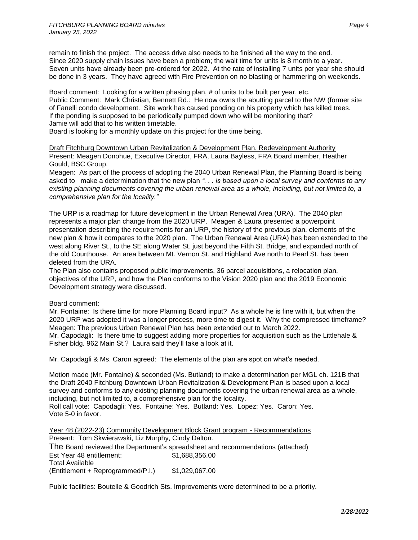remain to finish the project. The access drive also needs to be finished all the way to the end. Since 2020 supply chain issues have been a problem; the wait time for units is 8 month to a year. Seven units have already been pre-ordered for 2022. At the rate of installing 7 units per year she should be done in 3 years. They have agreed with Fire Prevention on no blasting or hammering on weekends.

Board comment: Looking for a written phasing plan, # of units to be built per year, etc. Public Comment: Mark Christian, Bennett Rd.: He now owns the abutting parcel to the NW (former site of Fanelli condo development. Site work has caused ponding on his property which has killed trees. If the ponding is supposed to be periodically pumped down who will be monitoring that? Jamie will add that to his written timetable.

Board is looking for a monthly update on this project for the time being.

Draft Fitchburg Downtown Urban Revitalization & Development Plan, Redevelopment Authority Present: Meagen Donohue, Executive Director, FRA, Laura Bayless, FRA Board member, Heather Gould, BSC Group.

Meagen: As part of the process of adopting the 2040 Urban Renewal Plan, the Planning Board is being asked to make a determination that the new plan *". . . is based upon a local survey and conforms to any existing planning documents covering the urban renewal area as a whole, including, but not limited to, a comprehensive plan for the locality."*

The URP is a roadmap for future development in the Urban Renewal Area (URA). The 2040 plan represents a major plan change from the 2020 URP. Meagen & Laura presented a powerpoint presentation describing the requirements for an URP, the history of the previous plan, elements of the new plan & how it compares to the 2020 plan. The Urban Renewal Area (URA) has been extended to the west along River St., to the SE along Water St. just beyond the Fifth St. Bridge, and expanded north of the old Courthouse. An area between Mt. Vernon St. and Highland Ave north to Pearl St. has been deleted from the URA.

The Plan also contains proposed public improvements, 36 parcel acquisitions, a relocation plan, objectives of the URP, and how the Plan conforms to the Vision 2020 plan and the 2019 Economic Development strategy were discussed.

# Board comment:

Mr. Fontaine: Is there time for more Planning Board input? As a whole he is fine with it, but when the 2020 URP was adopted it was a longer process, more time to digest it. Why the compressed timeframe? Meagen: The previous Urban Renewal Plan has been extended out to March 2022. Mr. Capodagli: Is there time to suggest adding more properties for acquisition such as the Littlehale & Fisher bldg. 962 Main St.? Laura said they'll take a look at it.

Mr. Capodagli & Ms. Caron agreed: The elements of the plan are spot on what's needed.

Motion made (Mr. Fontaine) & seconded (Ms. Butland) to make a determination per MGL ch. 121B that the Draft 2040 Fitchburg Downtown Urban Revitalization & Development Plan is based upon a local survey and conforms to any existing planning documents covering the urban renewal area as a whole, including, but not limited to, a comprehensive plan for the locality. Roll call vote: Capodagli: Yes. Fontaine: Yes. Butland: Yes. Lopez: Yes. Caron: Yes. Vote 5-0 in favor.

Year 48 (2022-23) Community Development Block Grant program - Recommendations Present: Tom Skwierawski, Liz Murphy, Cindy Dalton.

The Board reviewed the Department's spreadsheet and recommendations (attached) Est Year 48 entitlement: \$1,688,356.00 Total Available  $(Entilement + Reprogrammed/P.I.)$  \$1,029,067.00

Public facilities: Boutelle & Goodrich Sts. Improvements were determined to be a priority.